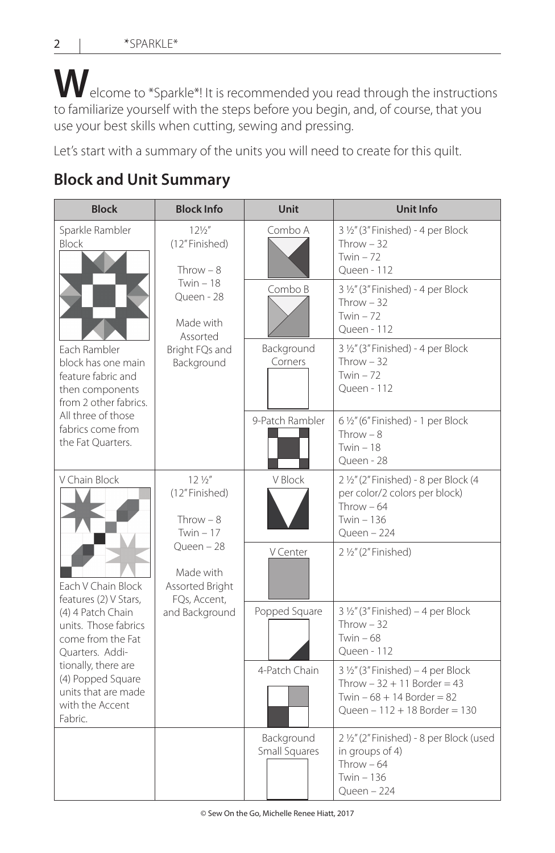**W**elcome to \*Sparkle\*! It is recommended you read through the instructions to familiarize yourself with the steps before you begin, and, of course, that you use your best skills when cutting, sewing and pressing.

Let's start with a summary of the units you will need to create for this quilt.

## **Block and Unit Summary**

| <b>Block</b>                                                                                                                                                                                                                                       | <b>Block Info</b>                                                                                                                             | Unit                        | <b>Unit Info</b>                                                                                                                                |  |
|----------------------------------------------------------------------------------------------------------------------------------------------------------------------------------------------------------------------------------------------------|-----------------------------------------------------------------------------------------------------------------------------------------------|-----------------------------|-------------------------------------------------------------------------------------------------------------------------------------------------|--|
| Sparkle Rambler<br><b>Block</b><br>Each Rambler<br>block has one main<br>feature fabric and<br>then components<br>from 2 other fabrics.<br>All three of those<br>fabrics come from<br>the Fat Ouarters.                                            | $12\frac{1}{2}$<br>(12"Finished)<br>Throw $-8$<br>Twin $-18$<br>Oueen - 28<br>Made with<br>Assorted<br>Bright FQs and<br>Background           | Combo A                     | 3 1/2" (3" Finished) - 4 per Block<br>Throw $-32$<br>Twin $-72$<br>Queen - 112                                                                  |  |
|                                                                                                                                                                                                                                                    |                                                                                                                                               | Combo B                     | 3 1/2" (3" Finished) - 4 per Block<br>Throw $-32$<br>Twin $-72$<br>Oueen - 112                                                                  |  |
|                                                                                                                                                                                                                                                    |                                                                                                                                               | Background<br>Corners       | 3 1/2" (3" Finished) - 4 per Block<br>Throw $-32$<br>Twin $-72$<br>Oueen - 112                                                                  |  |
|                                                                                                                                                                                                                                                    |                                                                                                                                               | 9-Patch Rambler             | 6 1/2" (6" Finished) - 1 per Block<br>Throw $-8$<br>Twin $-18$<br>Queen - 28                                                                    |  |
| V Chain Block<br>Each V Chain Block<br>features (2) V Stars,<br>(4) 4 Patch Chain<br>units. Those fabrics<br>come from the Fat<br>Quarters. Addi-<br>tionally, there are<br>(4) Popped Square<br>units that are made<br>with the Accent<br>Fabric. | $12\frac{1}{2}$<br>(12" Finished)<br>Throw $-8$<br>Twin $-17$<br>Queen - 28<br>Made with<br>Assorted Bright<br>FQs, Accent,<br>and Background | V Block                     | 2 1/2" (2" Finished) - 8 per Block (4<br>per color/2 colors per block)<br>Throw $-64$<br>Twin - 136<br>Oueen - 224                              |  |
|                                                                                                                                                                                                                                                    |                                                                                                                                               | V Center                    | 2 1/2" (2" Finished)                                                                                                                            |  |
|                                                                                                                                                                                                                                                    |                                                                                                                                               | Popped Square               | $3\frac{1}{2}$ " (3" Finished) – 4 per Block<br>Throw $-32$<br>Twin $-68$<br>Queen - 112                                                        |  |
|                                                                                                                                                                                                                                                    |                                                                                                                                               | 4-Patch Chain               | $3\frac{1}{2}$ " (3" Finished) – 4 per Block<br>Throw $-32 + 11$ Border $= 43$<br>Twin $-68 + 14$ Border = 82<br>Queen $-112 + 18$ Border = 130 |  |
|                                                                                                                                                                                                                                                    |                                                                                                                                               | Background<br>Small Squares | 2 1/2" (2" Finished) - 8 per Block (used<br>in groups of 4)<br>Throw $-64$<br>Twin $-136$<br>Queen - 224                                        |  |